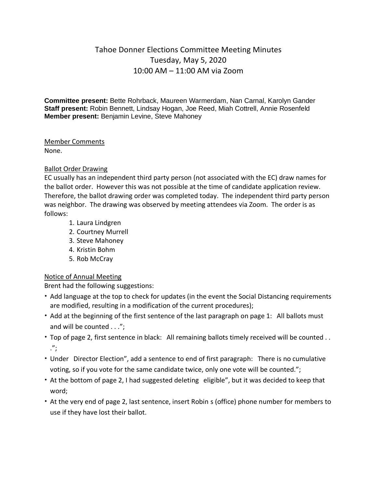# Tahoe Donner Elections Committee Meeting Minutes Tuesday, May 5, 2020 10:00 AM – 11:00 AM via Zoom

**Committee present:** Bette Rohrback, Maureen Warmerdam, Nan Carnal, Karolyn Gander **Staff present:** Robin Bennett, Lindsay Hogan, Joe Reed, Miah Cottrell, Annie Rosenfeld **Member present:** Benjamin Levine, Steve Mahoney

Member Comments None.

#### Ballot Order Drawing

EC usually has an independent third party person (not associated with the EC) draw names for the ballot order. However this was not possible at the time of candidate application review. Therefore, the ballot drawing order was completed today. The independent third party person was neighbor. The drawing was observed by meeting attendees via Zoom. The order is as follows:

- 1. Laura Lindgren
- 2. Courtney Murrell
- 3. Steve Mahoney
- 4. Kristin Bohm
- 5. Rob McCray

### Notice of Annual Meeting

Brent had the following suggestions:

- Add language at the top to check for updates (in the event the Social Distancing requirements are modified, resulting in a modification of the current procedures);
- Add at the beginning of the first sentence of the last paragraph on page 1: All ballots must and will be counted . . .";
- Top of page 2, first sentence in black: All remaining ballots timely received will be counted . . .";
- Under Director Election", add a sentence to end of first paragraph: There is no cumulative voting, so if you vote for the same candidate twice, only one vote will be counted.";
- At the bottom of page 2, I had suggested deleting eligible", but it was decided to keep that word;
- At the very end of page 2, last sentence, insert Robin s (office) phone number for members to use if they have lost their ballot.